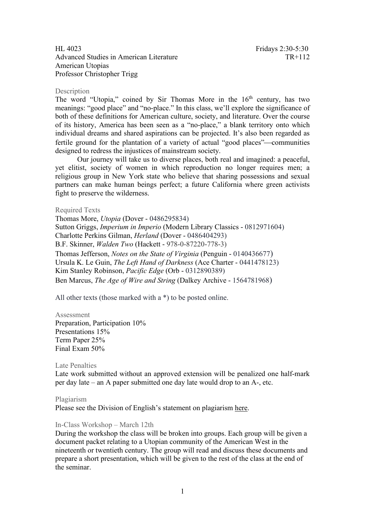# HL 4023 Fridays 2:30-5:30 Advanced Studies in American Literature TR+112 American Utopias Professor Christopher Trigg

## Description

The word "Utopia," coined by Sir Thomas More in the 16<sup>th</sup> century, has two meanings: "good place" and "no-place." In this class, we'll explore the significance of both of these definitions for American culture, society, and literature. Over the course of its history, America has been seen as a "no-place," a blank territory onto which individual dreams and shared aspirations can be projected. It's also been regarded as fertile ground for the plantation of a variety of actual "good places"—communities designed to redress the injustices of mainstream society.

Our journey will take us to diverse places, both real and imagined: a peaceful, yet elitist, society of women in which reproduction no longer requires men; a religious group in New York state who believe that sharing possessions and sexual partners can make human beings perfect; a future California where green activists fight to preserve the wilderness.

### Required Texts

Thomas More, *Utopia* (Dover - 0486295834) Sutton Griggs, *Imperium in Imperio* (Modern Library Classics - 0812971604) Charlotte Perkins Gilman, *Herland* (Dover - 0486404293) B.F. Skinner, *Walden Two* (Hackett - 978-0-87220-778-3) Thomas Jefferson, *Notes on the State of Virginia* (Penguin - 0140436677) Ursula K. Le Guin, *The Left Hand of Darkness* (Ace Charter - 0441478123) Kim Stanley Robinson, *Pacific Edge* (Orb - 0312890389) Ben Marcus, *The Age of Wire and String* (Dalkey Archive - 1564781968)

All other texts (those marked with a \*) to be posted online.

#### Assessment

Preparation, Participation 10% Presentations 15% Term Paper 25% Final Exam 50%

#### Late Penalties

Late work submitted without an approved extension will be penalized one half-mark per day late – an A paper submitted one day late would drop to an A-, etc.

## Plagiarism

Please see the Division of English's statement on plagiarism [here.](http://english.hss.ntu.edu.sg/Documents/Plagiarism.pdf)

## In-Class Workshop – March 12th

During the workshop the class will be broken into groups. Each group will be given a document packet relating to a Utopian community of the American West in the nineteenth or twentieth century. The group will read and discuss these documents and prepare a short presentation, which will be given to the rest of the class at the end of the seminar.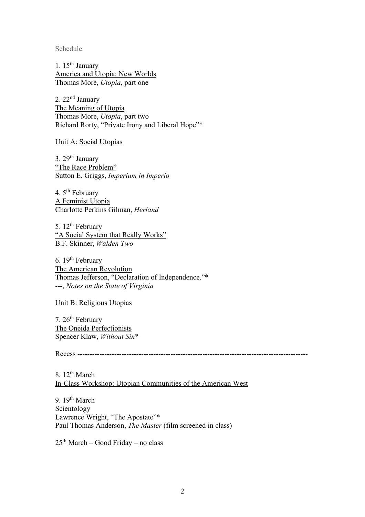Schedule

1.  $15<sup>th</sup>$  January America and Utopia: New Worlds Thomas More, *Utopia*, part one

2.  $22<sup>nd</sup>$  January The Meaning of Utopia Thomas More, *Utopia*, part two Richard Rorty, "Private Irony and Liberal Hope"\*

Unit A: Social Utopias

3.  $29<sup>th</sup>$  January "The Race Problem" Sutton E. Griggs, *Imperium in Imperio*

4. 5<sup>th</sup> February A Feminist Utopia Charlotte Perkins Gilman, *Herland*

5. 12<sup>th</sup> February "A Social System that Really Works" B.F. Skinner, *Walden Two*

6.  $19<sup>th</sup>$  February The American Revolution Thomas Jefferson, "Declaration of Independence."\* ---, *Notes on the State of Virginia*

Unit B: Religious Utopias

7. 26<sup>th</sup> February The Oneida Perfectionists Spencer Klaw, *Without Sin*\*

Recess ----------------------------------------------------------------------------------------------

8.  $12^{th}$  March In-Class Workshop: Utopian Communities of the American West

9. 19<sup>th</sup> March Scientology Lawrence Wright, "The Apostate"\* Paul Thomas Anderson, *The Master* (film screened in class)

 $25<sup>th</sup> March – Good Friday – no class$